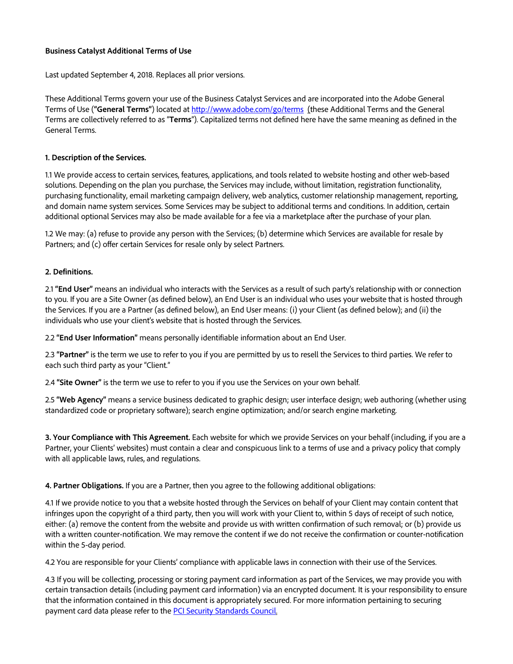# **Business Catalyst Additional Terms of Use**

Last updated September 4, 2018. Replaces all prior versions.

These Additional Terms govern your use of the Business Catalyst Services and are incorporated into the Adobe General Terms of Use (**"General Terms"**) located at <http://www.adobe.com/go/terms>(these Additional Terms and the General Terms are collectively referred to as "**Terms**"). Capitalized terms not defined here have the same meaning as defined in the General Terms.

### **1. Description of the Services.**

1.1 We provide access to certain services, features, applications, and tools related to website hosting and other web-based solutions. Depending on the plan you purchase, the Services may include, without limitation, registration functionality, purchasing functionality, email marketing campaign delivery, web analytics, customer relationship management, reporting, and domain name system services. Some Services may be subject to additional terms and conditions. In addition, certain additional optional Services may also be made available for a fee via a marketplace after the purchase of your plan.

1.2 We may: (a) refuse to provide any person with the Services; (b) determine which Services are available for resale by Partners; and (c) offer certain Services for resale only by select Partners.

#### **2. Definitions.**

2.1 **"End User"** means an individual who interacts with the Services as a result of such party's relationship with or connection to you. If you are a Site Owner (as defined below), an End User is an individual who uses your website that is hosted through the Services. If you are a Partner (as defined below), an End User means: (i) your Client (as defined below); and (ii) the individuals who use your client's website that is hosted through the Services.

2.2 **"End User Information"** means personally identifiable information about an End User.

2.3 **"Partner"** is the term we use to refer to you if you are permitted by us to resell the Services to third parties. We refer to each such third party as your "Client."

2.4 **"Site Owner"** is the term we use to refer to you if you use the Services on your own behalf.

2.5 **"Web Agency"** means a service business dedicated to graphic design; user interface design; web authoring (whether using standardized code or proprietary software); search engine optimization; and/or search engine marketing.

**3. Your Compliance with This Agreement.** Each website for which we provide Services on your behalf (including, if you are a Partner, your Clients' websites) must contain a clear and conspicuous link to a terms of use and a privacy policy that comply with all applicable laws, rules, and regulations.

**4. Partner Obligations.** If you are a Partner, then you agree to the following additional obligations:

4.1 If we provide notice to you that a website hosted through the Services on behalf of your Client may contain content that infringes upon the copyright of a third party, then you will work with your Client to, within 5 days of receipt of such notice, either: (a) remove the content from the website and provide us with written confirmation of such removal; or (b) provide us with a written counter-notification. We may remove the content if we do not receive the confirmation or counter-notification within the 5-day period.

4.2 You are responsible for your Clients' compliance with applicable laws in connection with their use of the Services.

4.3 If you will be collecting, processing or storing payment card information as part of the Services, we may provide you with certain transaction details (including payment card information) via an encrypted document. It is your responsibility to ensure that the information contained in this document is appropriately secured. For more information pertaining to securing payment card data please refer to the **[PCI Security Standards Council.](https://www.pcisecuritystandards.org/smb/index.html)**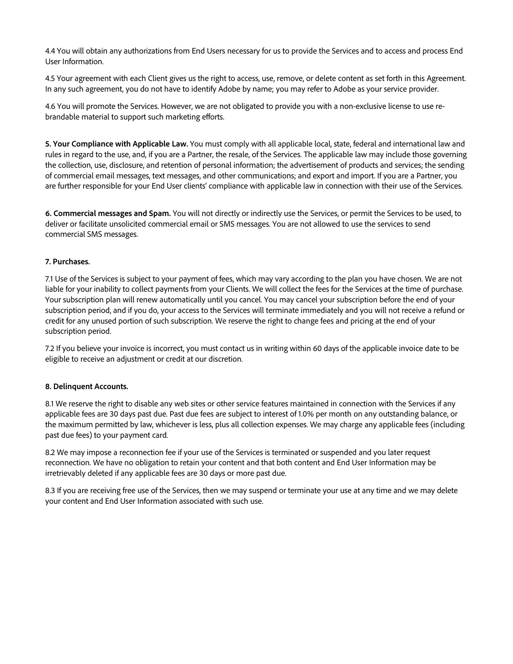4.4 You will obtain any authorizations from End Users necessary for us to provide the Services and to access and process End User Information.

4.5 Your agreement with each Client gives us the right to access, use, remove, or delete content as set forth in this Agreement. In any such agreement, you do not have to identify Adobe by name; you may refer to Adobe as your service provider.

4.6 You will promote the Services. However, we are not obligated to provide you with a non-exclusive license to use rebrandable material to support such marketing efforts.

**5. Your Compliance with Applicable Law.** You must comply with all applicable local, state, federal and international law and rules in regard to the use, and, if you are a Partner, the resale, of the Services. The applicable law may include those governing the collection, use, disclosure, and retention of personal information; the advertisement of products and services; the sending of commercial email messages, text messages, and other communications; and export and import. If you are a Partner, you are further responsible for your End User clients' compliance with applicable law in connection with their use of the Services.

**6. Commercial messages and Spam.** You will not directly or indirectly use the Services, or permit the Services to be used, to deliver or facilitate unsolicited commercial email or SMS messages. You are not allowed to use the services to send commercial SMS messages.

### **7. Purchases.**

7.1 Use of the Services is subject to your payment of fees, which may vary according to the plan you have chosen. We are not liable for your inability to collect payments from your Clients. We will collect the fees for the Services at the time of purchase. Your subscription plan will renew automatically until you cancel. You may cancel your subscription before the end of your subscription period, and if you do, your access to the Services will terminate immediately and you will not receive a refund or credit for any unused portion of such subscription. We reserve the right to change fees and pricing at the end of your subscription period.

7.2 If you believe your invoice is incorrect, you must contact us in writing within 60 days of the applicable invoice date to be eligible to receive an adjustment or credit at our discretion.

### **8. Delinquent Accounts.**

8.1 We reserve the right to disable any web sites or other service features maintained in connection with the Services if any applicable fees are 30 days past due. Past due fees are subject to interest of 1.0% per month on any outstanding balance, or the maximum permitted by law, whichever is less, plus all collection expenses. We may charge any applicable fees (including past due fees) to your payment card.

8.2 We may impose a reconnection fee if your use of the Services is terminated or suspended and you later request reconnection. We have no obligation to retain your content and that both content and End User Information may be irretrievably deleted if any applicable fees are 30 days or more past due.

8.3 If you are receiving free use of the Services, then we may suspend or terminate your use at any time and we may delete your content and End User Information associated with such use.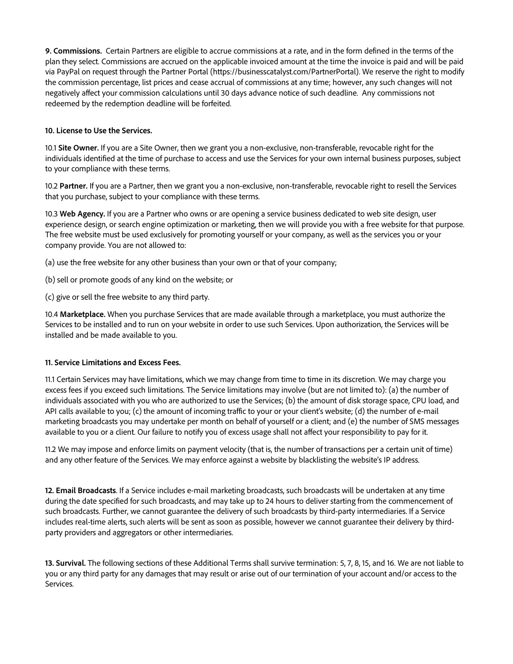**9. Commissions.** Certain Partners are eligible to accrue commissions at a rate, and in the form defined in the terms of the plan they select. Commissions are accrued on the applicable invoiced amount at the time the invoice is paid and will be paid via PayPal on request through the Partner Portal (https://businesscatalyst.com/PartnerPortal). We reserve the right to modify the commission percentage, list prices and cease accrual of commissions at any time; however, any such changes will not negatively affect your commission calculations until 30 days advance notice of such deadline. Any commissions not redeemed by the redemption deadline will be forfeited.

## **10. License to Use the Services.**

10.1 **Site Owner.** If you are a Site Owner, then we grant you a non-exclusive, non-transferable, revocable right for the individuals identified at the time of purchase to access and use the Services for your own internal business purposes, subject to your compliance with these terms.

10.2 **Partner.** If you are a Partner, then we grant you a non-exclusive, non-transferable, revocable right to resell the Services that you purchase, subject to your compliance with these terms.

10.3 **Web Agency.** If you are a Partner who owns or are opening a service business dedicated to web site design, user experience design, or search engine optimization or marketing, then we will provide you with a free website for that purpose. The free website must be used exclusively for promoting yourself or your company, as well as the services you or your company provide. You are not allowed to:

(a) use the free website for any other business than your own or that of your company;

- (b) sell or promote goods of any kind on the website; or
- (c) give or sell the free website to any third party.

10.4 **Marketplace.** When you purchase Services that are made available through a marketplace, you must authorize the Services to be installed and to run on your website in order to use such Services. Upon authorization, the Services will be installed and be made available to you.

### **11. Service Limitations and Excess Fees.**

11.1 Certain Services may have limitations, which we may change from time to time in its discretion. We may charge you excess fees if you exceed such limitations. The Service limitations may involve (but are not limited to): (a) the number of individuals associated with you who are authorized to use the Services; (b) the amount of disk storage space, CPU load, and API calls available to you; (c) the amount of incoming traffic to your or your client's website; (d) the number of e-mail marketing broadcasts you may undertake per month on behalf of yourself or a client; and (e) the number of SMS messages available to you or a client. Our failure to notify you of excess usage shall not affect your responsibility to pay for it.

11.2 We may impose and enforce limits on payment velocity (that is, the number of transactions per a certain unit of time) and any other feature of the Services. We may enforce against a website by blacklisting the website's IP address.

**12. Email Broadcasts**. If a Service includes e-mail marketing broadcasts, such broadcasts will be undertaken at any time during the date specified for such broadcasts, and may take up to 24 hours to deliver starting from the commencement of such broadcasts. Further, we cannot guarantee the delivery of such broadcasts by third-party intermediaries. If a Service includes real-time alerts, such alerts will be sent as soon as possible, however we cannot guarantee their delivery by thirdparty providers and aggregators or other intermediaries.

**13. Survival.** The following sections of these Additional Terms shall survive termination: 5, 7, 8, 15, and 16. We are not liable to you or any third party for any damages that may result or arise out of our termination of your account and/or access to the Services.